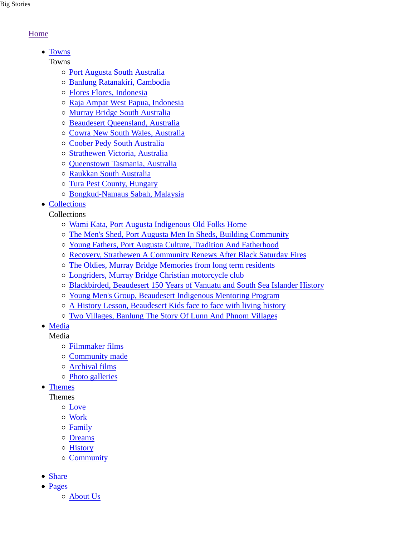## Home

• Towns

Towns

- Port Augusta South Australia
- Banlung Ratanakiri, Cambodia
- Flores Flores, Indonesia
- Raja Ampat West Papua, Indonesia
- Murray Bridge South Australia
- o Beaudesert Queensland, Australia
- Cowra New South Wales, Australia
- Coober Pedy South Australia
- o Strathewen Victoria, Australia
- Queenstown Tasmania, Australia
- Raukkan South Australia
- Tura Pest County, Hungary
- Bongkud-Namaus Sabah, Malaysia
- Collections

Collections

- Wami Kata, Port Augusta Indigenous Old Folks Home
- The Men's Shed, Port Augusta Men In Sheds, Building Community
- Young Fathers, Port Augusta Culture, Tradition And Fatherhood
- Recovery, Strathewen A Community Renews After Black Saturday Fires
- The Oldies, Murray Bridge Memories from long term residents
- Longriders, Murray Bridge Christian motorcycle club
- Blackbirded, Beaudesert 150 Years of Vanuatu and South Sea Islander History
- Young Men's Group, Beaudesert Indigenous Mentoring Program
- A History Lesson, Beaudesert Kids face to face with living history
- Two Villages, Banlung The Story Of Lunn And Phnom Villages
- Media

Media

- Filmmaker films
- Community made
- Archival films
- Photo galleries
- Themes

Themes

- Love
- Work
- Family
- Dreams
- History
- Community
- Share
- Pages
	- About Us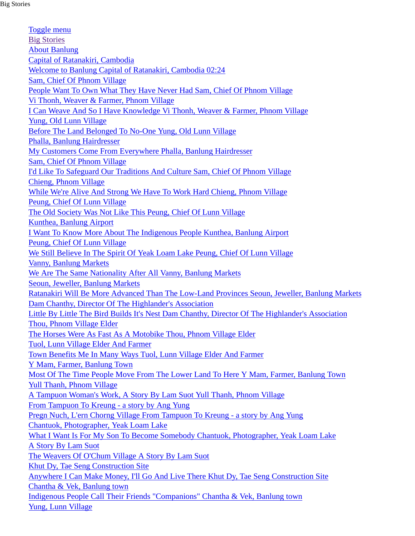Toggle menu Big Stories About Banlung Capital of Ratanakiri, Cambodia Welcome to Banlung Capital of Ratanakiri, Cambodia 02:24 Sam, Chief Of Phnom Village People Want To Own What They Have Never Had Sam, Chief Of Phnom Village Vi Thonh, Weaver & Farmer, Phnom Village I Can Weave And So I Have Knowledge Vi Thonh, Weaver & Farmer, Phnom Village Yung, Old Lunn Village Before The Land Belonged To No-One Yung, Old Lunn Village Phalla, Banlung Hairdresser My Customers Come From Everywhere Phalla, Banlung Hairdresser Sam, Chief Of Phnom Village I'd Like To Safeguard Our Traditions And Culture Sam, Chief Of Phnom Village Chieng, Phnom Village While We're Alive And Strong We Have To Work Hard Chieng, Phnom Village Peung, Chief Of Lunn Village The Old Society Was Not Like This Peung, Chief Of Lunn Village Kunthea, Banlung Airport I Want To Know More About The Indigenous People Kunthea, Banlung Airport Peung, Chief Of Lunn Village We Still Believe In The Spirit Of Yeak Loam Lake Peung, Chief Of Lunn Village Vanny, Banlung Markets We Are The Same Nationality After All Vanny, Banlung Markets Seoun, Jeweller, Banlung Markets Ratanakiri Will Be More Advanced Than The Low-Land Provinces Seoun, Jeweller, Banlung Markets Dam Chanthy, Director Of The Highlander's Association Little By Little The Bird Builds It's Nest Dam Chanthy, Director Of The Highlander's Association Thou, Phnom Village Elder The Horses Were As Fast As A Motobike Thou, Phnom Village Elder Tuol, Lunn Village Elder And Farmer Town Benefits Me In Many Ways Tuol, Lunn Village Elder And Farmer Y Mam, Farmer, Banlung Town Most Of The Time People Move From The Lower Land To Here Y Mam, Farmer, Banlung Town Yull Thanh, Phnom Village A Tampuon Woman's Work, A Story By Lam Suot Yull Thanh, Phnom Village From Tampuon To Kreung - a story by Ang Yung Pregn Nuch, L'ern Chorng Village From Tampuon To Kreung - a story by Ang Yung Chantuok, Photographer, Yeak Loam Lake What I Want Is For My Son To Become Somebody Chantuok, Photographer, Yeak Loam Lake A Story By Lam Suot The Weavers Of O'Chum Village A Story By Lam Suot Khut Dy, Tae Seng Construction Site Anywhere I Can Make Money, I'll Go And Live There Khut Dy, Tae Seng Construction Site Chantha & Vek, Banlung town Indigenous People Call Their Friends "Companions" Chantha & Vek, Banlung town Yung, Lunn Village